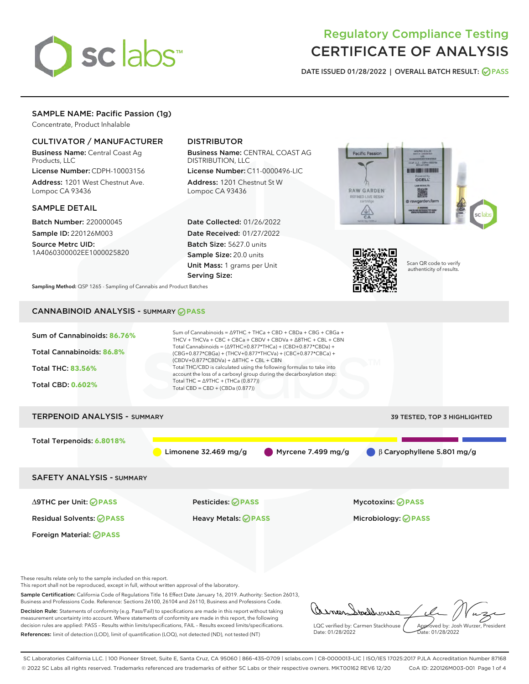

# Regulatory Compliance Testing CERTIFICATE OF ANALYSIS

DATE ISSUED 01/28/2022 | OVERALL BATCH RESULT: @ PASS

# SAMPLE NAME: Pacific Passion (1g)

Concentrate, Product Inhalable

# CULTIVATOR / MANUFACTURER

Business Name: Central Coast Ag Products, LLC

License Number: CDPH-10003156 Address: 1201 West Chestnut Ave. Lompoc CA 93436

### SAMPLE DETAIL

Batch Number: 220000045 Sample ID: 220126M003

Source Metrc UID: 1A4060300002EE1000025820

# DISTRIBUTOR

Business Name: CENTRAL COAST AG DISTRIBUTION, LLC

License Number: C11-0000496-LIC Address: 1201 Chestnut St W Lompoc CA 93436

Date Collected: 01/26/2022 Date Received: 01/27/2022 Batch Size: 5627.0 units Sample Size: 20.0 units Unit Mass: 1 grams per Unit Serving Size:





Scan QR code to verify authenticity of results.

Sampling Method: QSP 1265 - Sampling of Cannabis and Product Batches

# CANNABINOID ANALYSIS - SUMMARY **PASS**

| Sum of Cannabinoids: 86.76%<br>Total Cannabinoids: 86.8%<br><b>Total THC: 83.56%</b><br><b>Total CBD: 0.602%</b> | Sum of Cannabinoids = $\triangle$ 9THC + THCa + CBD + CBDa + CBG + CBGa +<br>THCV + THCVa + CBC + CBCa + CBDV + CBDVa + $\Delta$ 8THC + CBL + CBN<br>Total Cannabinoids = $(\Delta$ 9THC+0.877*THCa) + (CBD+0.877*CBDa) +<br>(CBG+0.877*CBGa) + (THCV+0.877*THCVa) + (CBC+0.877*CBCa) +<br>$(CBDV+0.877*CBDVa) + \Delta 8THC + CBL + CBN$<br>Total THC/CBD is calculated using the following formulas to take into<br>account the loss of a carboxyl group during the decarboxylation step:<br>Total THC = $\triangle$ 9THC + (THCa (0.877))<br>Total CBD = $CBD + (CBDa (0.877))$ |                                  |
|------------------------------------------------------------------------------------------------------------------|------------------------------------------------------------------------------------------------------------------------------------------------------------------------------------------------------------------------------------------------------------------------------------------------------------------------------------------------------------------------------------------------------------------------------------------------------------------------------------------------------------------------------------------------------------------------------------|----------------------------------|
| <b>TERPENOID ANALYSIS - SUMMARY</b>                                                                              |                                                                                                                                                                                                                                                                                                                                                                                                                                                                                                                                                                                    | 39 TESTED, TOP 3 HIGHLIGHTED     |
| Total Terpenoids: 6.8018%                                                                                        | Myrcene 7.499 mg/g<br>Limonene $32.469$ mg/g                                                                                                                                                                                                                                                                                                                                                                                                                                                                                                                                       | $\beta$ Caryophyllene 5.801 mg/g |
| <b>SAFETY ANALYSIS - SUMMARY</b>                                                                                 |                                                                                                                                                                                                                                                                                                                                                                                                                                                                                                                                                                                    |                                  |
| ∆9THC per Unit: ⊘PASS                                                                                            | Pesticides: ⊘PASS                                                                                                                                                                                                                                                                                                                                                                                                                                                                                                                                                                  | <b>Mycotoxins: ⊘PASS</b>         |
| <b>Residual Solvents: ⊘PASS</b>                                                                                  | <b>Heavy Metals: ⊘ PASS</b>                                                                                                                                                                                                                                                                                                                                                                                                                                                                                                                                                        | Microbiology: <b>⊘PASS</b>       |
| Foreign Material: <b>⊘ PASS</b>                                                                                  |                                                                                                                                                                                                                                                                                                                                                                                                                                                                                                                                                                                    |                                  |
|                                                                                                                  |                                                                                                                                                                                                                                                                                                                                                                                                                                                                                                                                                                                    |                                  |

These results relate only to the sample included on this report.

This report shall not be reproduced, except in full, without written approval of the laboratory.

Sample Certification: California Code of Regulations Title 16 Effect Date January 16, 2019. Authority: Section 26013, Business and Professions Code. Reference: Sections 26100, 26104 and 26110, Business and Professions Code. Decision Rule: Statements of conformity (e.g. Pass/Fail) to specifications are made in this report without taking

measurement uncertainty into account. Where statements of conformity are made in this report, the following decision rules are applied: PASS – Results within limits/specifications, FAIL – Results exceed limits/specifications. References: limit of detection (LOD), limit of quantification (LOQ), not detected (ND), not tested (NT)

armer tachhouse Approved by: Josh Wurzer, President LQC verified by: Carmen Stackhouse Date: 01/28/2022 Date: 01/28/2022

SC Laboratories California LLC. | 100 Pioneer Street, Suite E, Santa Cruz, CA 95060 | 866-435-0709 | sclabs.com | C8-0000013-LIC | ISO/IES 17025:2017 PJLA Accreditation Number 87168 © 2022 SC Labs all rights reserved. Trademarks referenced are trademarks of either SC Labs or their respective owners. MKT00162 REV6 12/20 CoA ID: 220126M003-001 Page 1 of 4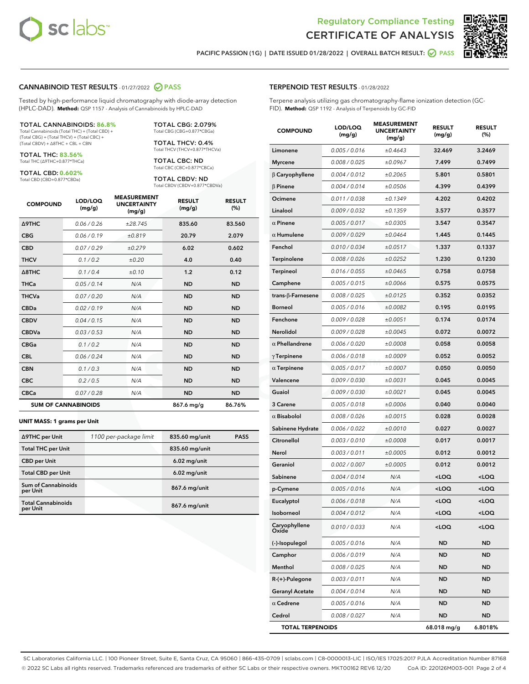



PACIFIC PASSION (1G) | DATE ISSUED 01/28/2022 | OVERALL BATCH RESULT:  $\bigcirc$  PASS

#### CANNABINOID TEST RESULTS - 01/27/2022 2 PASS

Tested by high-performance liquid chromatography with diode-array detection (HPLC-DAD). **Method:** QSP 1157 - Analysis of Cannabinoids by HPLC-DAD

#### TOTAL CANNABINOIDS: **86.8%**

Total Cannabinoids (Total THC) + (Total CBD) + (Total CBG) + (Total THCV) + (Total CBC) + (Total CBDV) + ∆8THC + CBL + CBN

TOTAL THC: **83.56%** Total THC (∆9THC+0.877\*THCa)

TOTAL CBD: **0.602%**

Total CBD (CBD+0.877\*CBDa)

TOTAL CBG: 2.079% Total CBG (CBG+0.877\*CBGa)

TOTAL THCV: 0.4% Total THCV (THCV+0.877\*THCVa)

TOTAL CBC: ND Total CBC (CBC+0.877\*CBCa)

TOTAL CBDV: ND Total CBDV (CBDV+0.877\*CBDVa)

| <b>COMPOUND</b>  | LOD/LOQ<br>(mg/g)          | <b>MEASUREMENT</b><br><b>UNCERTAINTY</b><br>(mg/g) | <b>RESULT</b><br>(mg/g) | <b>RESULT</b><br>(%) |
|------------------|----------------------------|----------------------------------------------------|-------------------------|----------------------|
| <b>A9THC</b>     | 0.06 / 0.26                | ±28.745                                            | 835.60                  | 83.560               |
| <b>CBG</b>       | 0.06/0.19                  | ±0.819                                             | 20.79                   | 2.079                |
| <b>CBD</b>       | 0.07/0.29                  | ±0.279                                             | 6.02                    | 0.602                |
| <b>THCV</b>      | 0.1/0.2                    | ±0.20                                              | 4.0                     | 0.40                 |
| $\triangle$ 8THC | 0.1/0.4                    | $\pm 0.10$                                         | 1.2                     | 0.12                 |
| <b>THCa</b>      | 0.05/0.14                  | N/A                                                | <b>ND</b>               | <b>ND</b>            |
| <b>THCVa</b>     | 0.07/0.20                  | N/A                                                | <b>ND</b>               | <b>ND</b>            |
| <b>CBDa</b>      | 0.02/0.19                  | N/A                                                | <b>ND</b>               | <b>ND</b>            |
| <b>CBDV</b>      | 0.04 / 0.15                | N/A                                                | <b>ND</b>               | <b>ND</b>            |
| <b>CBDVa</b>     | 0.03/0.53                  | N/A                                                | <b>ND</b>               | <b>ND</b>            |
| <b>CBGa</b>      | 0.1 / 0.2                  | N/A                                                | <b>ND</b>               | <b>ND</b>            |
| <b>CBL</b>       | 0.06 / 0.24                | N/A                                                | <b>ND</b>               | <b>ND</b>            |
| <b>CBN</b>       | 0.1/0.3                    | N/A                                                | <b>ND</b>               | <b>ND</b>            |
| <b>CBC</b>       | 0.2 / 0.5                  | N/A                                                | <b>ND</b>               | <b>ND</b>            |
| <b>CBCa</b>      | 0.07/0.28                  | N/A                                                | <b>ND</b>               | <b>ND</b>            |
|                  | <b>SUM OF CANNABINOIDS</b> |                                                    | 867.6 mg/g              | 86.76%               |

#### **UNIT MASS: 1 grams per Unit**

| ∆9THC per Unit                        | 1100 per-package limit | 835.60 mg/unit | <b>PASS</b> |
|---------------------------------------|------------------------|----------------|-------------|
| <b>Total THC per Unit</b>             |                        | 835.60 mg/unit |             |
| <b>CBD</b> per Unit                   |                        | $6.02$ mg/unit |             |
| <b>Total CBD per Unit</b>             |                        | $6.02$ mg/unit |             |
| Sum of Cannabinoids<br>per Unit       |                        | 867.6 mg/unit  |             |
| <b>Total Cannabinoids</b><br>per Unit |                        | 867.6 mg/unit  |             |

| <b>COMPOUND</b>           | LOD/LOQ<br>(mg/g) | <b>MEASUREMENT</b><br><b>UNCERTAINTY</b><br>(mg/g) | <b>RESULT</b><br>(mg/g)                          | <b>RESULT</b><br>$(\%)$ |
|---------------------------|-------------------|----------------------------------------------------|--------------------------------------------------|-------------------------|
| Limonene                  | 0.005 / 0.016     | ±0.4643                                            | 32.469                                           | 3.2469                  |
| <b>Myrcene</b>            | 0.008 / 0.025     | ±0.0967                                            | 7.499                                            | 0.7499                  |
| $\beta$ Caryophyllene     | 0.004 / 0.012     | ±0.2065                                            | 5.801                                            | 0.5801                  |
| $\beta$ Pinene            | 0.004 / 0.014     | ±0.0506                                            | 4.399                                            | 0.4399                  |
| Ocimene                   | 0.011 / 0.038     | ±0.1349                                            | 4.202                                            | 0.4202                  |
| Linalool                  | 0.009/0.032       | ±0.1359                                            | 3.577                                            | 0.3577                  |
| $\alpha$ Pinene           | 0.005 / 0.017     | ±0.0305                                            | 3.547                                            | 0.3547                  |
| $\alpha$ Humulene         | 0.009 / 0.029     | ±0.0464                                            | 1.445                                            | 0.1445                  |
| Fenchol                   | 0.010 / 0.034     | ±0.0517                                            | 1.337                                            | 0.1337                  |
| Terpinolene               | 0.008 / 0.026     | ±0.0252                                            | 1.230                                            | 0.1230                  |
| <b>Terpineol</b>          | 0.016 / 0.055     | ±0.0465                                            | 0.758                                            | 0.0758                  |
| Camphene                  | 0.005 / 0.015     | ±0.0066                                            | 0.575                                            | 0.0575                  |
| trans- $\beta$ -Farnesene | 0.008 / 0.025     | ±0.0125                                            | 0.352                                            | 0.0352                  |
| <b>Borneol</b>            | 0.005 / 0.016     | ±0.0082                                            | 0.195                                            | 0.0195                  |
| Fenchone                  | 0.009 / 0.028     | ±0.0051                                            | 0.174                                            | 0.0174                  |
| Nerolidol                 | 0.009 / 0.028     | ±0.0045                                            | 0.072                                            | 0.0072                  |
| $\alpha$ Phellandrene     | 0.006 / 0.020     | ±0.0008                                            | 0.058                                            | 0.0058                  |
| $\gamma$ Terpinene        | 0.006 / 0.018     | ±0.0009                                            | 0.052                                            | 0.0052                  |
| $\alpha$ Terpinene        | 0.005 / 0.017     | ±0.0007                                            | 0.050                                            | 0.0050                  |
| Valencene                 | 0.009 / 0.030     | ±0.0031                                            | 0.045                                            | 0.0045                  |
| Guaiol                    | 0.009 / 0.030     | ±0.0021                                            | 0.045                                            | 0.0045                  |
| 3 Carene                  | 0.005 / 0.018     | ±0.0006                                            | 0.040                                            | 0.0040                  |
| $\alpha$ Bisabolol        | 0.008 / 0.026     | ±0.0015                                            | 0.028                                            | 0.0028                  |
| Sabinene Hydrate          | 0.006 / 0.022     | ±0.0010                                            | 0.027                                            | 0.0027                  |
| Citronellol               | 0.003 / 0.010     | ±0.0008                                            | 0.017                                            | 0.0017                  |
| Nerol                     | 0.003 / 0.011     | ±0.0005                                            | 0.012                                            | 0.0012                  |
| Geraniol                  | 0.002 / 0.007     | ±0.0005                                            | 0.012                                            | 0.0012                  |
| Sabinene                  | 0.004 / 0.014     | N/A                                                | <loq< th=""><th><math>&lt;</math>LOQ</th></loq<> | $<$ LOQ                 |
| p-Cymene                  | 0.005 / 0.016     | N/A                                                | <loq< th=""><th><loq< th=""></loq<></th></loq<>  | <loq< th=""></loq<>     |
| Eucalyptol                | 0.006 / 0.018     | N/A                                                | <loq< th=""><th><loq< th=""></loq<></th></loq<>  | <loq< th=""></loq<>     |
| Isoborneol                | 0.004 / 0.012     | N/A                                                | <loq< th=""><th><loq< th=""></loq<></th></loq<>  | <loq< th=""></loq<>     |
| Caryophyllene<br>Oxide    | 0.010 / 0.033     | N/A                                                | <loq< th=""><th><loq< th=""></loq<></th></loq<>  | <loq< th=""></loq<>     |
| (-)-Isopulegol            | 0.005 / 0.016     | N/A                                                | ND                                               | <b>ND</b>               |
| Camphor                   | 0.006 / 0.019     | N/A                                                | ND                                               | <b>ND</b>               |
| Menthol                   | 0.008 / 0.025     | N/A                                                | ND                                               | <b>ND</b>               |
| $R-(+)$ -Pulegone         | 0.003 / 0.011     | N/A                                                | ND                                               | ND                      |
| <b>Geranyl Acetate</b>    | 0.004 / 0.014     | N/A                                                | ND                                               | ND                      |
| $\alpha$ Cedrene          | 0.005 / 0.016     | N/A                                                | ND                                               | <b>ND</b>               |
| Cedrol                    | 0.008 / 0.027     | N/A                                                | ND                                               | ND                      |
| <b>TOTAL TERPENOIDS</b>   |                   |                                                    | 68.018 mg/g                                      | 6.8018%                 |

SC Laboratories California LLC. | 100 Pioneer Street, Suite E, Santa Cruz, CA 95060 | 866-435-0709 | sclabs.com | C8-0000013-LIC | ISO/IES 17025:2017 PJLA Accreditation Number 87168 © 2022 SC Labs all rights reserved. Trademarks referenced are trademarks of either SC Labs or their respective owners. MKT00162 REV6 12/20 CoA ID: 220126M003-001 Page 2 of 4

# TERPENOID TEST RESULTS - 01/28/2022

Terpene analysis utilizing gas chromatography-flame ionization detection (GC-FID). **Method:** QSP 1192 - Analysis of Terpenoids by GC-FID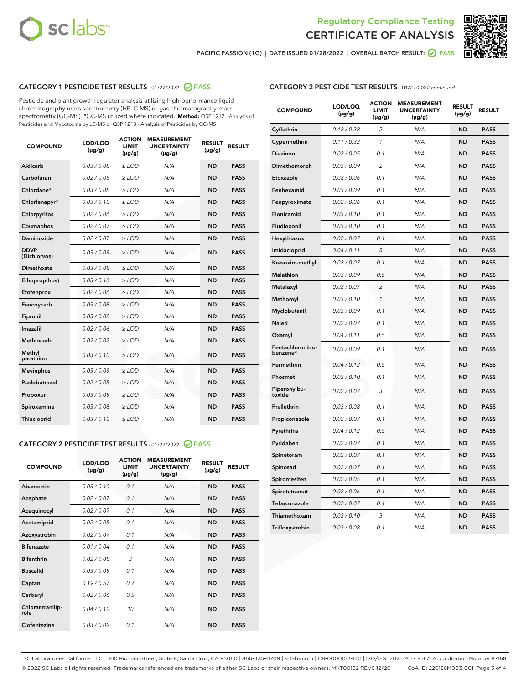



PACIFIC PASSION (1G) | DATE ISSUED 01/28/2022 | OVERALL BATCH RESULT:  $\bigcirc$  PASS

# CATEGORY 1 PESTICIDE TEST RESULTS - 01/27/2022 2 PASS

Pesticide and plant growth regulator analysis utilizing high-performance liquid chromatography-mass spectrometry (HPLC-MS) or gas chromatography-mass spectrometry (GC-MS). \*GC-MS utilized where indicated. **Method:** QSP 1212 - Analysis of Pesticides and Mycotoxins by LC-MS or QSP 1213 - Analysis of Pesticides by GC-MS

| <b>COMPOUND</b>             | LOD/LOQ<br>$(\mu g/g)$ | <b>ACTION</b><br><b>LIMIT</b><br>$(\mu q/q)$ | <b>MEASUREMENT</b><br><b>UNCERTAINTY</b><br>$(\mu g/g)$ | <b>RESULT</b><br>$(\mu g/g)$ | <b>RESULT</b> |
|-----------------------------|------------------------|----------------------------------------------|---------------------------------------------------------|------------------------------|---------------|
| Aldicarb                    | 0.03 / 0.08            | $\ge$ LOD                                    | N/A                                                     | <b>ND</b>                    | <b>PASS</b>   |
| Carbofuran                  | 0.02/0.05              | $>$ LOD                                      | N/A                                                     | <b>ND</b>                    | <b>PASS</b>   |
| Chlordane*                  | 0.03 / 0.08            | $\ge$ LOD                                    | N/A                                                     | <b>ND</b>                    | <b>PASS</b>   |
| Chlorfenapyr*               | 0.03/0.10              | $\ge$ LOD                                    | N/A                                                     | <b>ND</b>                    | <b>PASS</b>   |
| Chlorpyrifos                | 0.02 / 0.06            | $\ge$ LOD                                    | N/A                                                     | <b>ND</b>                    | <b>PASS</b>   |
| Coumaphos                   | 0.02 / 0.07            | $>$ LOD                                      | N/A                                                     | <b>ND</b>                    | <b>PASS</b>   |
| <b>Daminozide</b>           | 0.02 / 0.07            | $\ge$ LOD                                    | N/A                                                     | <b>ND</b>                    | <b>PASS</b>   |
| <b>DDVP</b><br>(Dichlorvos) | 0.03/0.09              | $\ge$ LOD                                    | N/A                                                     | <b>ND</b>                    | <b>PASS</b>   |
| <b>Dimethoate</b>           | 0.03 / 0.08            | $\ge$ LOD                                    | N/A                                                     | <b>ND</b>                    | <b>PASS</b>   |
| Ethoprop(hos)               | 0.03/0.10              | $\ge$ LOD                                    | N/A                                                     | <b>ND</b>                    | <b>PASS</b>   |
| Etofenprox                  | 0.02 / 0.06            | $\ge$ LOD                                    | N/A                                                     | <b>ND</b>                    | <b>PASS</b>   |
| Fenoxycarb                  | 0.03 / 0.08            | $\ge$ LOD                                    | N/A                                                     | <b>ND</b>                    | <b>PASS</b>   |
| Fipronil                    | 0.03/0.08              | $>$ LOD                                      | N/A                                                     | <b>ND</b>                    | <b>PASS</b>   |
| Imazalil                    | 0.02 / 0.06            | $\ge$ LOD                                    | N/A                                                     | <b>ND</b>                    | <b>PASS</b>   |
| Methiocarb                  | 0.02 / 0.07            | $\ge$ LOD                                    | N/A                                                     | <b>ND</b>                    | <b>PASS</b>   |
| Methyl<br>parathion         | 0.03/0.10              | $>$ LOD                                      | N/A                                                     | <b>ND</b>                    | <b>PASS</b>   |
| <b>Mevinphos</b>            | 0.03/0.09              | $>$ LOD                                      | N/A                                                     | <b>ND</b>                    | <b>PASS</b>   |
| Paclobutrazol               | 0.02 / 0.05            | $\ge$ LOD                                    | N/A                                                     | <b>ND</b>                    | <b>PASS</b>   |
| Propoxur                    | 0.03/0.09              | $\ge$ LOD                                    | N/A                                                     | <b>ND</b>                    | <b>PASS</b>   |
| Spiroxamine                 | 0.03 / 0.08            | $\ge$ LOD                                    | N/A                                                     | <b>ND</b>                    | <b>PASS</b>   |
| <b>Thiacloprid</b>          | 0.03/0.10              | $\ge$ LOD                                    | N/A                                                     | <b>ND</b>                    | <b>PASS</b>   |

#### CATEGORY 2 PESTICIDE TEST RESULTS - 01/27/2022 2 PASS

| <b>COMPOUND</b>          | LOD/LOO<br>$(\mu g/g)$ | <b>ACTION</b><br>LIMIT<br>$(\mu g/g)$ | <b>MEASUREMENT</b><br><b>UNCERTAINTY</b><br>$(\mu g/g)$ | <b>RESULT</b><br>$(\mu g/g)$ | <b>RESULT</b> |  |
|--------------------------|------------------------|---------------------------------------|---------------------------------------------------------|------------------------------|---------------|--|
| Abamectin                | 0.03/0.10              | 0.1                                   | N/A                                                     | <b>ND</b>                    | <b>PASS</b>   |  |
| Acephate                 | 0.02/0.07              | 0.1                                   | N/A                                                     | <b>ND</b>                    | <b>PASS</b>   |  |
| Acequinocyl              | 0.02/0.07              | 0.1                                   | N/A                                                     | <b>ND</b>                    | <b>PASS</b>   |  |
| Acetamiprid              | 0.02 / 0.05            | 0.1                                   | N/A                                                     | <b>ND</b>                    | <b>PASS</b>   |  |
| Azoxystrobin             | 0.02/0.07              | 0.1                                   | N/A                                                     | <b>ND</b>                    | <b>PASS</b>   |  |
| <b>Bifenazate</b>        | 0.01 / 0.04            | 0.1                                   | N/A                                                     | <b>ND</b>                    | <b>PASS</b>   |  |
| <b>Bifenthrin</b>        | 0.02 / 0.05            | 3                                     | N/A                                                     | <b>ND</b>                    | <b>PASS</b>   |  |
| <b>Boscalid</b>          | 0.03/0.09              | 0.1                                   | N/A                                                     | <b>ND</b>                    | <b>PASS</b>   |  |
| Captan                   | 0.19/0.57              | 0.7                                   | N/A                                                     | <b>ND</b>                    | <b>PASS</b>   |  |
| Carbaryl                 | 0.02/0.06              | 0.5                                   | N/A                                                     | <b>ND</b>                    | <b>PASS</b>   |  |
| Chlorantranilip-<br>role | 0.04/0.12              | 10                                    | N/A                                                     | <b>ND</b>                    | <b>PASS</b>   |  |
| Clofentezine             | 0.03/0.09              | 0.1                                   | N/A                                                     | <b>ND</b>                    | <b>PASS</b>   |  |

| <b>CATEGORY 2 PESTICIDE TEST RESULTS</b> - 01/27/2022 continued |
|-----------------------------------------------------------------|
|                                                                 |

| <b>COMPOUND</b>               | LOD/LOQ<br>$(\mu g/g)$ | <b>ACTION</b><br><b>LIMIT</b><br>(µg/g) | <b>MEASUREMENT</b><br><b>UNCERTAINTY</b><br>(µg/g) | <b>RESULT</b><br>$(\mu g/g)$ | <b>RESULT</b> |
|-------------------------------|------------------------|-----------------------------------------|----------------------------------------------------|------------------------------|---------------|
| Cyfluthrin                    | 0.12 / 0.38            | $\overline{c}$                          | N/A                                                | <b>ND</b>                    | <b>PASS</b>   |
| Cypermethrin                  | 0.11 / 0.32            | 1                                       | N/A                                                | <b>ND</b>                    | <b>PASS</b>   |
| Diazinon                      | 0.02 / 0.05            | 0.1                                     | N/A                                                | <b>ND</b>                    | <b>PASS</b>   |
| Dimethomorph                  | 0.03 / 0.09            | $\overline{2}$                          | N/A                                                | <b>ND</b>                    | <b>PASS</b>   |
| Etoxazole                     | 0.02 / 0.06            | 0.1                                     | N/A                                                | <b>ND</b>                    | <b>PASS</b>   |
| Fenhexamid                    | 0.03 / 0.09            | 0.1                                     | N/A                                                | <b>ND</b>                    | <b>PASS</b>   |
| Fenpyroximate                 | 0.02 / 0.06            | 0.1                                     | N/A                                                | <b>ND</b>                    | <b>PASS</b>   |
| Flonicamid                    | 0.03 / 0.10            | 0.1                                     | N/A                                                | ND                           | <b>PASS</b>   |
| Fludioxonil                   | 0.03 / 0.10            | 0.1                                     | N/A                                                | <b>ND</b>                    | <b>PASS</b>   |
| Hexythiazox                   | 0.02 / 0.07            | 0.1                                     | N/A                                                | <b>ND</b>                    | <b>PASS</b>   |
| Imidacloprid                  | 0.04 / 0.11            | 5                                       | N/A                                                | <b>ND</b>                    | <b>PASS</b>   |
| Kresoxim-methyl               | 0.02 / 0.07            | 0.1                                     | N/A                                                | ND                           | <b>PASS</b>   |
| <b>Malathion</b>              | 0.03 / 0.09            | 0.5                                     | N/A                                                | <b>ND</b>                    | <b>PASS</b>   |
| Metalaxyl                     | 0.02 / 0.07            | $\overline{c}$                          | N/A                                                | <b>ND</b>                    | <b>PASS</b>   |
| Methomyl                      | 0.03 / 0.10            | $\mathcal{I}$                           | N/A                                                | <b>ND</b>                    | <b>PASS</b>   |
| Myclobutanil                  | 0.03/0.09              | 0.1                                     | N/A                                                | <b>ND</b>                    | <b>PASS</b>   |
| Naled                         | 0.02 / 0.07            | 0.1                                     | N/A                                                | <b>ND</b>                    | <b>PASS</b>   |
| Oxamyl                        | 0.04 / 0.11            | 0.5                                     | N/A                                                | ND                           | <b>PASS</b>   |
| Pentachloronitro-<br>benzene* | 0.03 / 0.09            | 0.1                                     | N/A                                                | <b>ND</b>                    | <b>PASS</b>   |
| Permethrin                    | 0.04 / 0.12            | 0.5                                     | N/A                                                | <b>ND</b>                    | <b>PASS</b>   |
| Phosmet                       | 0.03 / 0.10            | 0.1                                     | N/A                                                | <b>ND</b>                    | <b>PASS</b>   |
| Piperonylbu-<br>toxide        | 0.02 / 0.07            | 3                                       | N/A                                                | <b>ND</b>                    | <b>PASS</b>   |
| Prallethrin                   | 0.03 / 0.08            | 0.1                                     | N/A                                                | ND                           | <b>PASS</b>   |
| Propiconazole                 | 0.02 / 0.07            | 0.1                                     | N/A                                                | <b>ND</b>                    | <b>PASS</b>   |
| Pyrethrins                    | 0.04 / 0.12            | 0.5                                     | N/A                                                | <b>ND</b>                    | <b>PASS</b>   |
| Pyridaben                     | 0.02 / 0.07            | 0.1                                     | N/A                                                | ND                           | <b>PASS</b>   |
| Spinetoram                    | 0.02 / 0.07            | 0.1                                     | N/A                                                | <b>ND</b>                    | <b>PASS</b>   |
| Spinosad                      | 0.02 / 0.07            | 0.1                                     | N/A                                                | ND                           | <b>PASS</b>   |
| Spiromesifen                  | 0.02 / 0.05            | 0.1                                     | N/A                                                | <b>ND</b>                    | <b>PASS</b>   |
| Spirotetramat                 | 0.02 / 0.06            | 0.1                                     | N/A                                                | ND                           | PASS          |
| Tebuconazole                  | 0.02 / 0.07            | 0.1                                     | N/A                                                | <b>ND</b>                    | <b>PASS</b>   |
| Thiamethoxam                  | 0.03 / 0.10            | 5                                       | N/A                                                | <b>ND</b>                    | <b>PASS</b>   |
| Trifloxystrobin               | 0.03 / 0.08            | 0.1                                     | N/A                                                | <b>ND</b>                    | <b>PASS</b>   |

SC Laboratories California LLC. | 100 Pioneer Street, Suite E, Santa Cruz, CA 95060 | 866-435-0709 | sclabs.com | C8-0000013-LIC | ISO/IES 17025:2017 PJLA Accreditation Number 87168 © 2022 SC Labs all rights reserved. Trademarks referenced are trademarks of either SC Labs or their respective owners. MKT00162 REV6 12/20 CoA ID: 220126M003-001 Page 3 of 4